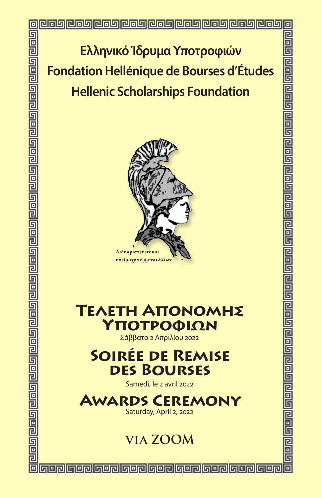**Ελληνικό Ίδρυµα Υποτροφιών Fondation Hellénique de Bourses d'Études Hellenic Scholarships Foundation**



# **Τελετη Απονομης Υποτροφιων**

Σάββατο 2 Απριλίου 2022

# **Soirée de Remise des Bourses**

Samedi, le 2 avril 2022

# **Awards Ceremony**

Saturday, April 2, 2022

# **via ZOOM**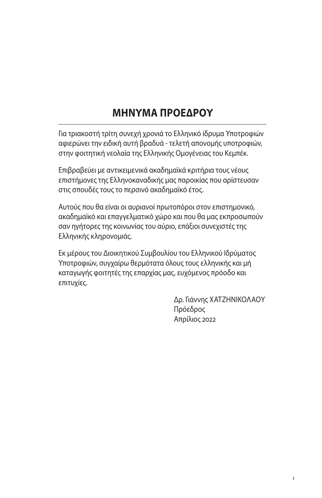# **ΜΗΝΥΜΑ ΠΡΟΕΔΡΟΥ**

Για τριακοστή τρίτη συνεχή χρονιά το Ελληνικό ίδρυμα Υποτροφιών αφιερώνει την ειδική αυτή βραδυά - τελετή απονομής υποτροφιών, στην φοιτητική νεολαία της Ελληνικής Ομογένειας του Κεμπέκ.

Επιβραβεύει με αντικειμενικά ακαδημαϊκά κριτήρια τους νέους επιστήμονες της Ελληνοκαναδικής μας παροικίας που αρίστευσαν στις σπουδές τους το περσινό ακαδημαïκό έτος.

Αυτούς που θα είναι οι αυριανοί πρωτοπόροι στον επιστημονικό, ακαδημαïκό και επαγγελματικό χώρο και που θα μας εκπροσωπούν σαν ηγήτορες της κοινωνίας του αύριο, επάξιοι συνεχιστές της Ελληνικής κληρονομιάς.

Εκ μέρους του Διοικητικού Συμβουλίου του Ελληνικού Ιδρύματος Υποτροφιών, συγχαίρω θερμότατα όλους τους ελληνικής και μή καταγωγής φοιτητές της επαρχίας μας, ευχόμενος πρόοδο και επιτυχίες.

> Δρ. Γιάννης ΧΑΤΖΗΝΙΚΟΛΑΟΥ Πρόεδρος Απρίλιος 2022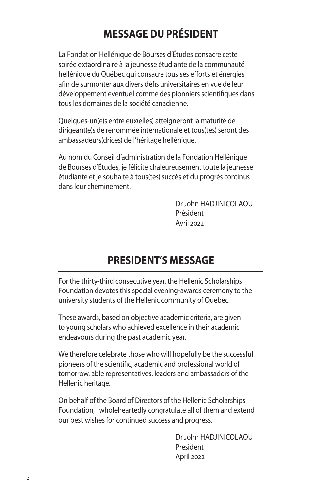# **MESSAGE DU PRÉSIDENT**

La Fondation Hellénique de Bourses d'Études consacre cette soirée extaordinaire à la jeunesse étudiante de la communauté hellénique du Québec qui consacre tous ses efforts et énergies afin de surmonter aux divers défis universitaires en vue de leur développement éventuel comme des pionniers scientifiques dans tous les domaines de la société canadienne.

Quelques-un(e)s entre eux(elles) atteigneront la maturité de dirigeant(e)s de renommée internationale et tous(tes) seront des ambassadeurs(drices) de l'héritage hellénique.

Au nom du Conseil d'administration de la Fondation Hellénique de Bourses d'Études, je félicite chaleureusement toute la jeunesse étudiante et je souhaite à tous(tes) succès et du progrès continus dans leur cheminement.

> Dr John HADJINICOLAOU Président Avril 2022

## **PRESIDENT'S MESSAGE**

For the thirty-third consecutive year, the Hellenic Scholarships Foundation devotes this special evening-awards ceremony to the university students of the Hellenic community of Quebec.

These awards, based on objective academic criteria, are given to young scholars who achieved excellence in their academic endeavours during the past academic year.

We therefore celebrate those who will hopefully be the successful pioneers of the scientific, academic and professional world of tomorrow, able representatives, leaders and ambassadors of the Hellenic heritage.

On behalf of the Board of Directors of the Hellenic Scholarships Foundation, I wholeheartedly congratulate all of them and extend our best wishes for continued success and progress.

> Dr John HADJINICOLAOU President April 2022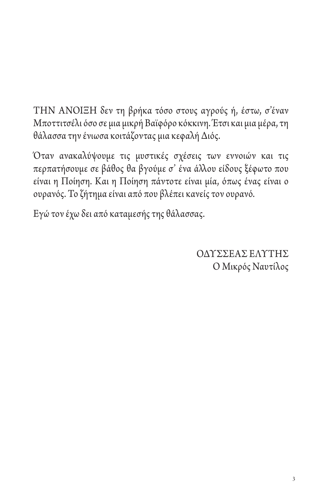ΤΗΝ ΆΝΟΙΞΗ δεν τη βρήκα τόσο στους αγρούς ή, έστω, σ'έναν Μποττιτσέλι όσο σε μια μικρή Βαϊφόρο κόκκινη. Έτσι και μια μέρα, τη θάλασσα την ένιωσα κοιτάζοντας μια κεφαλή Διός.

Όταν ανακαλύψουμε τις μυστικές σχέσεις των εννοιών και τις περπατήσουμε σε βάθος θα βγούμε σ' ένα άλλου είδους ξέφωτο που είναι η Ποίηση. Και η Ποίηση πάντοτε είναι μία, όπως ένας είναι ο ουρανός. Το ζήτημα είναι από που βλέπει κανείς τον ουρανό.

Εγώ τον έχω δει από καταμεσής της θάλασσας.

ΟΔΥΣΣΕΑΣ ΕΛΥΤΗΣ Ο Μικρός Ναυτίλος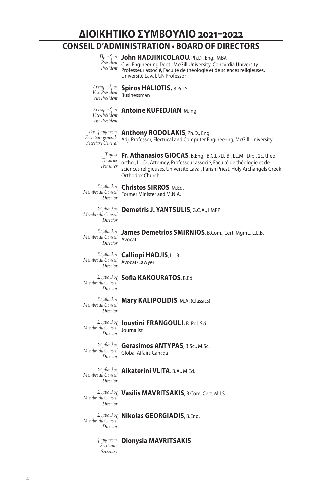**ΔΙΟΙΚΗΤΙΚΟ ΣΥΜΒΟΥΛΙΟ 2021–2022**

## **CONSEIL D'ADMINISTRATION • BOARD OF DIRECTORS**

#### **John HADJINICOLAOU**, Ph.D., Eng., MBA *Πρόεδρος*

Civil Engineering Dept., McGill University, Concordia University Professeur associé, Faculté de théologie et de sciences religieuses, Université Laval, UN Professor *Président President*

**Spiros HALIOTIS**, B.Pol.Sc. Businessman *Αντιπρόεδρος Vice-Président Vice President*

#### **Antoine KUFEDJIAN**, M.Ing. *Αντιπρόεδρος*

*Vice-Président Vice President*

*Γεν. Γραμματέας Secrétaire générale Secretary General*

**Anthony RODOLAKIS**, Ph.D., Eng. Adj. Professor, Electrical and Computer Engineering, McGill University

**Fr. Athanasios GIOCAS**, B.Eng., B.C.L./LL.B., LL.M., Dipl. 2c. théo. *Ταμίας* ortho., LL.D., Attorney, Professeur associé, Faculté de théologie et de *Trésorier* sciences religieuses, Université Laval, Parish Priest, Holy Archangels Greek *Treasurer* Orthodox Church

*Σύμβουλος Membre du Conseil Director*

## **Christos SIRROS**, M.Ed. Former Minister and M.N.A.

**Demetris J. YANTSULIS**, G.C.A., IIMPP *Σύμβουλος Membre du Conseil Director*

*Σύμβουλος Membre du Conseil Director*

# **James Demetrios SMIRNIOS**, B.Com., Cert. Mgmt., L.L.B. Avocat

*Membre du Conseil Director* Avocat/Lawyer

*Σύμβουλος* **Calliopi HADJIS**, LL.B..

*Membre du Conseil Director*

## **Sofia KAKOURATOS**, B.Ed. *Σύμβουλος*

*Director*

# **Mary KALIPOLIDIS**, M.A. (Classics) *Σύμβουλος Membre du Conseil*

*Σύμβουλος Membre du Conseil Director*

**Ioustini FRANGOULI**, B. Pol. Sci. Journalist

*Σύμβουλος Membre du Conseil Director*

**Gerasimos ANTYPAS**, B.Sc., M.Sc. Global Affairs Canada

*Membre du Conseil Director*

#### **Aikaterini VLITA**, B.A., M.Ed. *Σύμβουλος*

*Director*

**Vasilis MAVRITSAKIS**, B.Com, Cert. M.I.S. *Σύμβουλος Membre du Conseil*

*Membre du Conseil Director*

**Nikolas GEORGIADIS**, B.Eng. *Σύμβουλος*

*Γραμματέας* **Dionysia MAVRITSAKIS** *Secrétaire Secretary*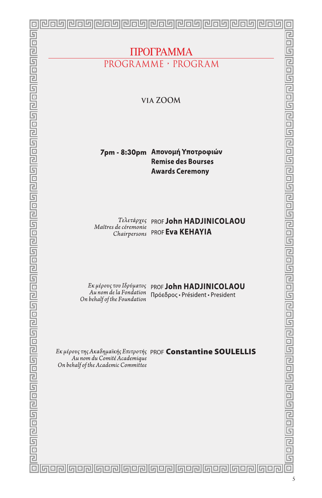|                                                                                                           | والملوا والماها والماها والماها والماهان<br>凹向凹   | 心向坏<br>واوروا                                                  |             |
|-----------------------------------------------------------------------------------------------------------|---------------------------------------------------|----------------------------------------------------------------|-------------|
|                                                                                                           |                                                   |                                                                | ヨコ          |
|                                                                                                           |                                                   |                                                                | 5           |
|                                                                                                           |                                                   | ПРОГРАММА                                                      |             |
|                                                                                                           |                                                   | PROGRAMME · PROGRAM                                            | 2<br>9<br>5 |
|                                                                                                           |                                                   |                                                                |             |
|                                                                                                           |                                                   |                                                                |             |
|                                                                                                           |                                                   | VIA ZOOM                                                       | 日日日         |
|                                                                                                           |                                                   |                                                                |             |
|                                                                                                           |                                                   |                                                                | 己日日         |
|                                                                                                           |                                                   |                                                                |             |
|                                                                                                           |                                                   |                                                                |             |
|                                                                                                           |                                                   | 7pm - 8:30pm Απονομή Υποτροφιών                                | 已回口         |
|                                                                                                           |                                                   | <b>Remise des Bourses</b>                                      |             |
|                                                                                                           |                                                   | <b>Awards Ceremony</b>                                         |             |
|                                                                                                           |                                                   |                                                                | 己日日         |
|                                                                                                           |                                                   |                                                                |             |
|                                                                                                           |                                                   |                                                                |             |
|                                                                                                           |                                                   |                                                                | 己旦口         |
|                                                                                                           | Τελετάρχες                                        | PROF John HADJINICOLAOU                                        |             |
|                                                                                                           | Maîtres de céremonie<br>Chairpersons              | PROF Eva KEHAYIA                                               |             |
|                                                                                                           |                                                   |                                                                | 百日日         |
|                                                                                                           |                                                   |                                                                |             |
|                                                                                                           |                                                   |                                                                | 己旦口         |
|                                                                                                           |                                                   |                                                                |             |
|                                                                                                           |                                                   |                                                                |             |
|                                                                                                           | Εκ μέρους του Ιδρύματος<br>Au nom de la Fondation | PROF John HADJINICOLAOU<br>Πρόεδρος · Président · President    | 日日          |
|                                                                                                           | On behalf of the Foundation                       |                                                                |             |
|                                                                                                           |                                                   |                                                                | 己日日         |
|                                                                                                           |                                                   |                                                                |             |
|                                                                                                           |                                                   |                                                                |             |
|                                                                                                           |                                                   |                                                                | 已日日         |
|                                                                                                           | Au nom du Comité Academique                       | Εκ μέρους της Ακαδημαϊκής Επιτροτής PROF Constantine SOULELLIS |             |
|                                                                                                           | On behalf of the Academic Committee               |                                                                | 日日          |
|                                                                                                           |                                                   |                                                                |             |
|                                                                                                           |                                                   |                                                                |             |
|                                                                                                           |                                                   |                                                                |             |
|                                                                                                           |                                                   |                                                                |             |
|                                                                                                           |                                                   |                                                                |             |
|                                                                                                           |                                                   |                                                                |             |
|                                                                                                           |                                                   |                                                                |             |
|                                                                                                           |                                                   |                                                                |             |
| واقارواهاوا واقاوا واقام الماقا واقاروا واقاروا واقاوا واقاوا واقاوا واقاروا واقاروا واقاوا واقاوا واقاوا |                                                   |                                                                | elsel elebe |
|                                                                                                           |                                                   | <u> Gerðaerðaerðaerðaerðaerðaerðaerðaerð</u>                   |             |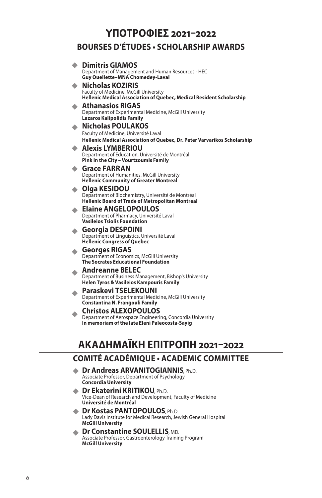## **BOURSES D'ÉTUDES • SCHOLARSHIP AWARDS**

|                               | <b>Dimitris GIAMOS</b>                                                                                         |  |
|-------------------------------|----------------------------------------------------------------------------------------------------------------|--|
|                               | Department of Management and Human Resources - HEC                                                             |  |
|                               | Guy Ouellette-MNA Chomedey-Laval                                                                               |  |
|                               | <b>Nicholas KOZIRIS</b>                                                                                        |  |
|                               | Faculty of Medicine, McGill University<br>Hellenic Medical Association of Quebec, Medical Resident Scholarship |  |
|                               | <b>Athanasios RIGAS</b>                                                                                        |  |
|                               | Department of Experimental Medicine, McGill University                                                         |  |
|                               | <b>Lazaros Kalipolidis Family</b>                                                                              |  |
|                               | <b>Nicholas POULAKOS</b><br>Faculty of Medicine, Université Laval                                              |  |
|                               | Hellenic Medical Association of Quebec, Dr. Peter Varvarikos Scholarship                                       |  |
|                               | <b>Alexis LYMBERIOU</b>                                                                                        |  |
|                               | Department of Education, Université de Montréal                                                                |  |
|                               | Pink in the City - Vourtzoumis Family                                                                          |  |
|                               | <b>Grace FARRAN</b><br>Department of Humanities, McGill University                                             |  |
|                               | <b>Hellenic Community of Greater Montreal</b>                                                                  |  |
|                               | Olga KESIDOU                                                                                                   |  |
|                               | Department of Biochemistry, Université de Montréal<br><b>Hellenic Board of Trade of Metropolitan Montreal</b>  |  |
|                               | <b>Elaine ANGELOPOULOS</b>                                                                                     |  |
|                               | Department of Pharmacy, Université Laval                                                                       |  |
|                               | <b>Vasileios Tsiolis Foundation</b>                                                                            |  |
|                               | Georgia DESPOINI<br>Department of Linguistics, Université Laval                                                |  |
|                               | <b>Hellenic Congress of Quebec</b>                                                                             |  |
|                               | <b>Georges RIGAS</b>                                                                                           |  |
|                               | Department of Economics, McGill University<br><b>The Socrates Educational Foundation</b>                       |  |
|                               | <b>Andreanne BELEC</b>                                                                                         |  |
|                               | Department of Business Management, Bishop's University                                                         |  |
|                               | Helen Tyros & Vasileios Kampouris Family                                                                       |  |
|                               | Paraskevi TSELEKOUNI<br>Department of Experimental Medicine, McGill University                                 |  |
|                               | Constantina N. Frangouli Family                                                                                |  |
|                               | <b>Christos ALEXOPOULOS</b>                                                                                    |  |
|                               | Department of Aerospace Engineering, Concordia University                                                      |  |
|                               | In memoriam of the late Eleni Paleocosta-Sayig                                                                 |  |
|                               |                                                                                                                |  |
| АКАДНМАЇКН ЕПІТРОПН 2021-2022 |                                                                                                                |  |
|                               |                                                                                                                |  |

## **COMITÉ ACADÉMIQUE • ACADEMIC COMMITTEE**

- ◆ **Dr Andreas ARVANITOGIANNIS**, Ph.D. Associate Professor, Department of Psychology **Concordia University**
- **Dr Ekaterini KRITIKOU, Ph.D.** Vice-Dean of Research and Development, Faculty of Medicine **Université de Montréal**
- **Dr Kostas PANTOPOULOS**, Ph.D. Lady Davis Institute for Medical Research, Jewish General Hospital **McGill University**
- **◆ Dr Constantine SOULELLIS**, MD. Associate Professor, Gastroenterology Training Program **McGill University**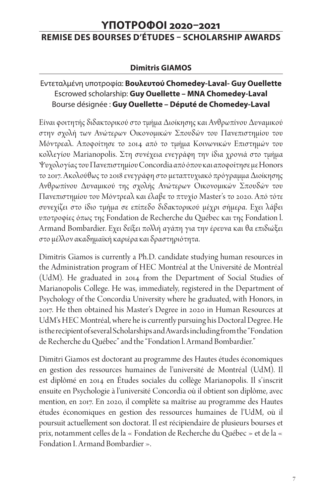## **ΥΠΟΤΡΟΦΟΙ 2020–2021 REMISE DES BOURSES D'ÉTUDES – SCHOLARSHIP AWARDS**

## **Dimitris GIAMOS**

## Εντεταλμένη υποτροφία: **Βουλευτού Chomedey-Laval- Guy Ouellette**  Escrowed scholarship: **Guy Ouellette – MNA Chomedey-Laval** Bourse désignée : **Guy Ouellette – Député de Chomedey-Laval**

Είναι φοιτητής διδακτορικού στο τμήμα Διοίκησης και Ανθρωπίνου Δυναμικού στην σχολή των Ανώτερων Οικονομικών Σπουδών του Πανεπιστημίου του Μόντρεαλ. Αποφοίτησε το 2014 από το τμήμα Κοινωνικών Επιστημών του κολλεγίου Marianopolis. Στη συνέχεια ενεγράφη την ίδια χρονιά στο τμήμα Ψυχολογίας του Πανεπιστημίου Concordia από όπου και αποφοίτησε με Honors το 2017. Ακολούθως το 2018 ενεγράφη στο μεταπτυχιακό πρόγραμμα Διοίκησης Ανθρωπίνου Δυναμικού της σχολής Ανώτερων Οικονομικών Σπουδών του Πανεπιστημίου του Μόντρεαλ και έλαβε το πτυχίο Master's το 2020. Από τότε συνεχίζει στο ίδιο τμήμα σε επίπεδο διδακτορικού μέχρι σήμερα. Εχει λάβει υποτροφίες όπως της Fondation de Recherche du Québec και της Fondation l. Armand Bombardier. Εχει δείξει πολλή αγάπη για την έρευνα και θα επιδιώξει στο μέλλον ακαδημαϊκή καριέρα και δραστηριότητα.

Dimitris Giamos is currently a Ph.D. candidate studying human resources in the Administration program of HEC Montréal at the Université de Montréal (UdM). He graduated in 2014 from the Department of Social Studies of Marianopolis College. He was, immediately, registered in the Department of Psychology of the Concordia University where he graduated, with Honors, in 2017. He then obtained his Master's Degree in 2020 in Human Resources at UdM's HEC Montréal, where he is currently pursuing his Doctoral Degree. He is the recipient of several Scholarships and Awards including from the "Fondation de Recherche du Québec" and the "Fondation l. Armand Bombardier."

Dimitri Giamos est doctorant au programme des Hautes études économiques en gestion des ressources humaines de l'université de Montréal (UdM). Il est diplômé en 2014 en Études sociales du collège Marianopolis. Il s'inscrit ensuite en Psychologie à l'université Concordia où il obtient son diplôme, avec mention, en 2017. En 2020, il complète sa maîtrise au programme des Hautes études économiques en gestion des ressources humaines de l'UdM, où il poursuit actuellement son doctorat. Il est récipiendaire de plusieurs bourses et prix, notamment celles de la « Fondation de Recherche du Québec » et de la « Fondation I. Armand Bombardier ».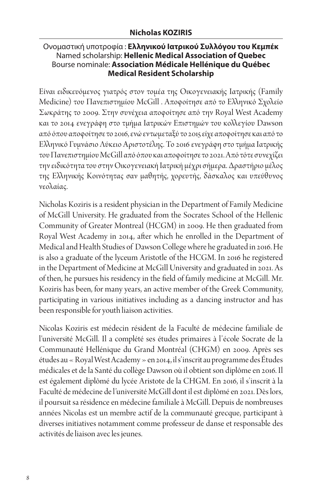#### Ονομαστική υποτροφία : **Ελληνικού Ιατρικού Συλλόγου του Κεμπέκ**  Named scholarship: **Hellenic Medical Association of Quebec** Bourse nominale: **Association Médicale Hellénique du Québec Medical Resident Scholarship**

Είναι ειδικευόμενος γιατρός στον τομέα της Οικογενειακής Ιατρικής (Family Medicine) του Πανεπιστημίου McGill . Αποφοίτησε από το Ελληνικό Σχολείο Σωκράτης το 2009. Στην συνέχεια αποφοίτησε από την Royal West Academy και το 2014 ενεγράφη στο τμήμα Ιατρικών Επιστημών του κολλεγίου Dawson από όπου αποφοίτησε το 2016, ενώ εντωμεταξύ το 2015 είχε αποφοίτησε και από το Ελληνικό Γυμνάσιο Λύκειο Αριστοτέλης. Το 2016 ενεγράφη στο τμήμα Ιατρικής του Πανεπιστημίου McGill από όπου και αποφοίτησε το 2021. Από τότε συνεχίζει την ειδικότητα του στην Οικογενειακή Ιατρική μέχρι σήμερα. Δραστήριο μέλος της Ελληνικής Κοινότητας σαν μαθητής, χορευτής, δάσκαλος και υπεύθυνος νεολαίας.

Nicholas Koziris is a resident physician in the Department of Family Medicine of McGill University. He graduated from the Socrates School of the Hellenic Community of Greater Montreal (HCGM) in 2009. He then graduated from Royal West Academy in 2014, after which he enrolled in the Department of Medical and Health Studies of Dawson College where he graduated in 2016. He is also a graduate of the lyceum Aristotle of the HCGM. In 2016 he registered in the Department of Medicine at McGill University and graduated in 2021. As of then, he pursues his residency in the field of family medicine at McGill. Mr. Koziris has been, for many years, an active member of the Greek Community, participating in various initiatives including as a dancing instructor and has been responsible for youth liaison activities.

Nicolas Koziris est médecin résident de la Faculté de médecine familiale de l'université McGill. Il a complété ses études primaires à l'école Socrate de la Communauté Hellénique du Grand Montréal (CHGM) en 2009. Après ses études au « Royal West Academy » en 2014, il s'inscrit au programme des Études médicales et de la Santé du collège Dawson où il obtient son diplôme en 2016. Il est également diplômé du lycée Aristote de la CHGM. En 2016, il s'inscrit à la Faculté de médecine de l'université McGill dont il est diplômé en 2021. Dès lors, il poursuit sa résidence en médecine familiale à McGill. Depuis de nombreuses années Nicolas est un membre actif de la communauté grecque, participant à diverses initiatives notamment comme professeur de danse et responsable des activités de liaison avec les jeunes.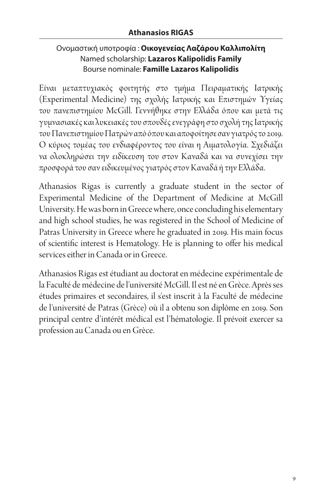## Ονομαστική υποτροφία : **Οικογενείας Λαζάρου Καλλιπολίτη** Named scholarship: **Lazaros Kalipolidis Family** Bourse nominale: **Famille Lazaros Kalipolidis**

Είναι μεταπτυχιακός φοιτητής στο τμήμα Πειραματικής Iατρικής (Experimental Medicine) της σχολής Ιατρικής και Επιστημών Υγείας του πανεπιστημίου McGill. Γεννήθηκε στην Ελλάδα όπου και μετά τις γυμνασιακές και λυκειακές του σπουδές ενεγράφη στο σχολή της Ιατρικής του Πανεπιστημίου Πατρών από όπου και αποφοίτησε σαν γιατρός το 2019. Ο κύριος τομέας του ενδιαφέροντος του είναι η Αιματολογία. Σχεδιάζει να ολοκληρώσει την ειδίκευση του στον Καναδά και να συνεχίσει την προσφορά του σαν ειδικευμένος γιατρός στον Καναδά ή την Ελλάδα.

Athanasios Rigas is currently a graduate student in the sector of Experimental Medicine of the Department of Medicine at McGill University. He was born in Greece where, once concluding his elementary and high school studies, he was registered in the School of Medicine of Patras University in Greece where he graduated in 2019. His main focus of scientific interest is Hematology. He is planning to offer his medical services either in Canada or in Greece.

Athanasios Rigas est étudiant au doctorat en médecine expérimentale de la Faculté de médecine de l'université McGill. Il est né en Grèce. Après ses études primaires et secondaires, il s'est inscrit à la Faculté de médecine de l'université de Patras (Grèce) où il a obtenu son diplôme en 2019. Son principal centre d'intérêt médical est l'hématologie. Il prévoit exercer sa profession au Canada ou en Grèce.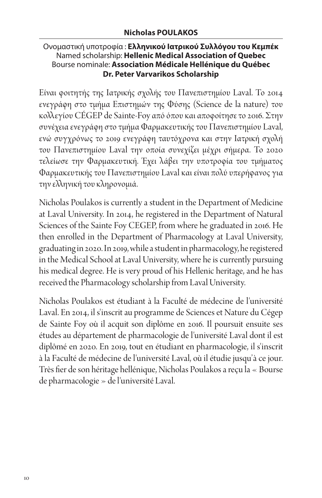#### Ονομαστική υποτροφία : **Ελληνικού Ιατρικού Συλλόγου του Κεμπέκ**  Named scholarship: **Hellenic Medical Association of Quebec** Bourse nominale: **Association Médicale Hellénique du Québec Dr. Peter Varvarikos Scholarship**

Είναι φοιτητής της Ιατρικής σχολής του Πανεπιστημίου Laval. Το 2014 ενεγράφη στο τμήμα Επιστημών της Φύσης (Science de la nature) του κολλεγίου CÉGEP de Sainte-Foy από όπου και αποφοίτησε το 2016. Στην συνέχεια ενεγράφη στο τμήμα Φαρμακευτικής του Πανεπιστημίου Laval, ενώ συγχρόνως το 2019 ενεγράφη ταυτόχρονα και στην Ιατρική σχολή του Πανεπιστημίου Laval την οποία συνεχίζει μέχρι σήμερα. Το 2020 τελείωσε την Φαρμακευτική. Έχει λάβει την υποτροφία του τμήματος Φαρμακευτικής του Πανεπιστημίου Laval και είναι πολύ υπερήφανος για την ελληνική του κληρονομιά.

Nicholas Poulakos is currently a student in the Department of Medicine at Laval University. In 2014, he registered in the Department of Natural Sciences of the Sainte Foy CEGEP, from where he graduated in 2016. He then enrolled in the Department of Pharmacology at Laval University, graduating in 2020. In 2019, while a student in pharmacology, he registered in the Medical School at Laval University, where he is currently pursuing his medical degree. He is very proud of his Hellenic heritage, and he has received the Pharmacology scholarship from Laval University.

Nicholas Poulakos est étudiant à la Faculté de médecine de l'université Laval. En 2014, il s'inscrit au programme de Sciences et Nature du Cégep de Sainte Foy où il acquit son diplôme en 2016. Il poursuit ensuite ses études au département de pharmacologie de l'université Laval dont il est diplômé en 2020. En 2019, tout en étudiant en pharmacologie, il s'inscrit à la Faculté de médecine de l'université Laval, où il étudie jusqu'à ce jour. Très fier de son héritage hellénique, Nicholas Poulakos a reçu la « Bourse de pharmacologie » de l'université Laval.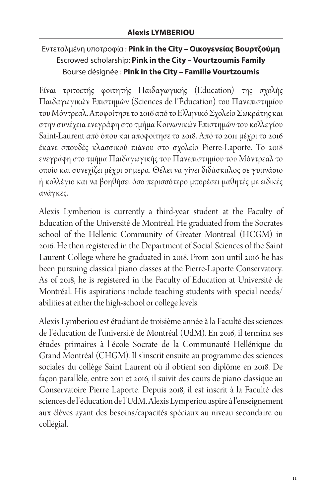## Εντεταλμένη υποτροφία : **Pink in the City – Οικογενείας Βουρτζούμη** Escrowed scholarship: **Pink in the City – Vourtzoumis Family** Bourse désignée : **Pink in the City – Famille Vourtzoumis**

Είναι τριτοετής φοιτητής Παιδαγωγικής (Education) της σχολής Παιδαγωγικών Επιστημών (Sciences de l'Éducation) του Πανεπιστημίου του Μόντρεαλ. Αποφοίτησε το 2016 από το Ελληνικό Σχολείο Σωκράτης και στην συνέχεια ενεγράφη στο τμήμα Κοινωνικών Επιστημών του κολλεγίου Saint-Laurent από όπου και αποφοίτησε το 2018. Από το 2011 μέχρι το 2016 έκανε σπουδές κλασσικού πιάνου στο σχολείο Pierre-Laporte. Το 2018 ενεγράφη στο τμήμα Παιδαγωγικής του Πανεπιστημίου του Μόντρεαλ το οποίο και συνεχίζει μέχρι σήμερα. Θέλει να γίνει διδάσκαλος σε γυμνάσιο ή κολλέγιο και να βοηθήσει όσο περισσότερο μπορέσει μαθητές με ειδικές ανάγκες.

Alexis Lymberiou is currently a third-year student at the Faculty of Education of the Université de Montréal. He graduated from the Socrates school of the Hellenic Community of Greater Montreal (HCGM) in 2016. He then registered in the Department of Social Sciences of the Saint Laurent College where he graduated in 2018. From 2011 until 2016 he has been pursuing classical piano classes at the Pierre-Laporte Conservatory. As of 2018, he is registered in the Faculty of Education at Université de Montréal. His aspirations include teaching students with special needs/ abilities at either the high-school or college levels.

Alexis Lymberiou est étudiant de troisième année à la Faculté des sciences de l'éducation de l'université de Montréal (UdM). En 2016, il termina ses études primaires à l'école Socrate de la Communauté Hellénique du Grand Montréal (CHGM). Il s'inscrit ensuite au programme des sciences sociales du collège Saint Laurent où il obtient son diplôme en 2018. De façon parallèle, entre 2011 et 2016, il suivit des cours de piano classique au Conservatoire Pierre Laporte. Depuis 2018, il est inscrit à la Faculté des sciences de l'éducation de l'UdM. Alexis Lymperiou aspire à l'enseignement aux élèves ayant des besoins/capacités spéciaux au niveau secondaire ou collégial.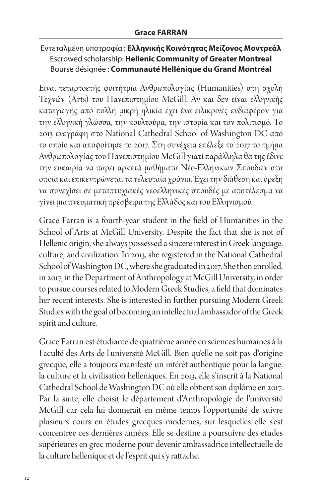## Εντεταλμένη υποτροφία : **Ελληνικής Κοινότητας Μείζονος Μοντρεάλ** Escrowed scholarship: **Hellenic Community of Greater Montreal** Bourse désignée : **Communauté Hellénique du Grand Montréal**

Είναι τεταρτοετής φοιτήτρια Ανθρωπολογίας (Humanities) στη σχολή Τεχνών (Arts) του Πανεπιστημίου McGill. Αν και δεν είναι ελληνικής καταγωγής από πολλή μικρή ηλικία έχει ένα ειλικρινές ενδιαφέρον για την ελληνική γλώσσα, την κουλτούρα, την ιστορία και τον πολιτισμό. Το 2013 ενεγράφη στο National Cathedral School of Washington DC από το οποίο και αποφοίτησε το 2017. Στη συνέχεια επέλεξε το 2017 το τμήμα Ανθρωπολογίας του Πανεπιστημίου McGill γιατί παράλληλα θα της έδινε την ευκαιρία να πάρει αρκετά μαθήματα Νέο-Ελληνικών Σπουδών στα οποία και επικεντρώνεται τα τελευταία χρόνια. Έχει την διάθεση και όρεξη να συνεχίσει σε μεταπτυχιακές νεοελληνικές σπουδές με αποτέλεσμα να γίνει μια πνευματική πρέσβειρα της Ελλάδος και του Ελληνισμού.

Grace Farran is a fourth-year student in the field of Humanities in the School of Arts at McGill University. Despite the fact that she is not of Hellenic origin, she always possessed a sincere interest in Greek language, culture, and civilization. In 2013, she registered in the National Cathedral School of Washington DC, where she graduated in 2017. She then enrolled, in 2017, in the Department of Anthropology at McGill University, in order to pursue courses related to Modern Greek Studies, a field that dominates her recent interests. She is interested in further pursuing Modern Greek Studies with the goal of becoming an intellectual ambassador of the Greek spirit and culture.

Grace Farran est étudiante de quatrième année en sciences humaines à la Faculté des Arts de l'université McGill. Bien qu'elle ne soit pas d'origine grecque, elle a toujours manifesté un intérêt authentique pour la langue, la culture et la civilisation helléniques. En 2013, elle s'inscrit à la National Cathedral School de Washington DC où elle obtient son diplôme en 2017. Par la suite, elle choisit le département d'Anthropologie de l'université McGill car cela lui donnerait en même temps l'opportunité de suivre plusieurs cours en études grecques modernes, sur lesquelles elle s'est concentrée ces dernières années. Elle se destine à poursuivre des études supérieures en grec moderne pour devenir ambassadrice intellectuelle de la culture hellénique et de l'esprit qui s'y rattache.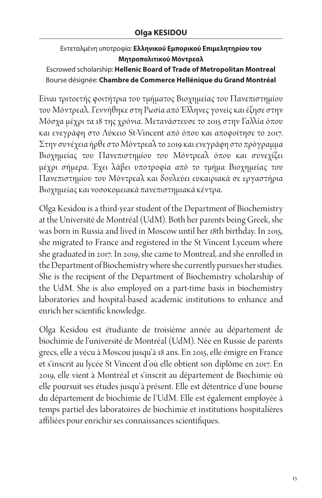## Εντεταλμένη υποτροφία: **Ελληνικού Εμπορικού Επιμελητηρίου του Μητροπολιτικού Μόντρεαλ**

Escrowed scholarship: **Hellenic Board of Trade of Metropolitan Montreal** Bourse désignée: **Chambre de Commerce Hellénique du Grand Montréal**

Είναι τριτοετής φοιτήτρια του τμήματος Βιοχημείας του Πανεπιστημίου του Μόντρεαλ. Γεννήθηκε στη Ρωσία από Έλληνες γονείς και έζησε στην Μόσχα μέχρι τα 18 της χρόνια. Μετανάστευσε το 2015 στην Γαλλία όπου και ενεγράφη στο Λύκειο St-Vincent από όπου και αποφοίτησε το 2017. Στην συνέχεια ήρθε στο Μόντρεαλ το 2019 και ενεγράφη στο πρόγραμμα Βιοχημείας του Πανεπιστημίου του Μόντρεαλ όπου και συνεχίζει μέχρι σήμερα. Έχει λάβει υποτροφία από το τμήμα Βιοχημείας του Πανεπιστημίου του Μόντρεαλ και δουλεύει ευκαιριακά σε εργαστήρια Βιοχημείας και νοσοκομειακά πανεπιστημιακά κέντρα.

Olga Kesidou is a third-year student of the Department of Biochemistry at the Université de Montréal (UdM). Both her parents being Greek, she was born in Russia and lived in Moscow until her 18th birthday. In 2015, she migrated to France and registered in the St Vincent Lyceum where she graduated in 2017. In 2019, she came to Montreal, and she enrolled in the Department of Biochemistry where she currently pursues her studies. She is the recipient of the Department of Biochemistry scholarship of the UdM. She is also employed on a part-time basis in biochemistry laboratories and hospital-based academic institutions to enhance and enrich her scientific knowledge.

Olga Kesidou est étudiante de troisième année au département de biochimie de l'université de Montréal (UdM). Née en Russie de parents grecs, elle a vécu à Moscou jusqu'à 18 ans. En 2015, elle émigre en France et s'inscrit au lycée St Vincent d'où elle obtient son diplôme en 2017. En 2019, elle vient à Montréal et s'inscrit au département de Biochimie où elle poursuit ses études jusqu'à présent. Elle est détentrice d'une bourse du département de biochimie de l'UdM. Elle est également employée à temps partiel des laboratoires de biochimie et institutions hospitalières affiliées pour enrichir ses connaissances scientifiques.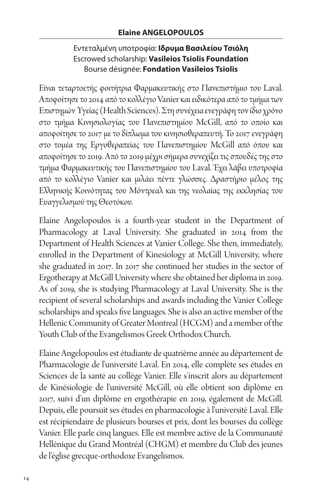## Εντεταλμένη υποτροφία: **Ιδρυμα Βασιλείου Τσιόλη** Escrowed scholarship: **Vasileios Tsiolis Foundation** Bourse désignée: **Fondation Vasileios Tsiolis**

Είναι τεταρτοετής φοιτήτρια Φαρμακευτικής στο Πανεπιστήμιο του Laval. Αποφοίτησε το 2014 από το κολλέγιο Vanier και ειδικότερα από το τμήμα των Επιστημών Υγείας (Health Sciences). Στη συνέχεια ενεγράφη τον ίδιο χρόνο στο τμήμα Κινησιολογίας του Πανεπιστημίου McGill, από το οποίο και αποφοίτησε το 2017 με το δίπλωμα του κινησιοθεραπευτή. Το 2017 ενεγράφη στο τομέα της Εργοθεραπείας του Πανεπιστημίου McGill από όπου και αποφοίτησε το 2019. Από το 2019 μέχρι σήμερα συνεχίζει τις σπουδές της στο τμήμα Φαρμακευτικής του Πανεπιστημίου του Laval. Έχει λάβει υποτροφία από το κολλέγιο Vanier και μιλάει πέντε γλώσσες. Δραστήριο μέλος της Ελληνικής Κοινότητας του Μόντρεαλ και της νεολαίας της εκκλησίας του Ευαγγελισμού της Θεοτόκου.

Elaine Angelopoulos is a fourth-year student in the Department of Pharmacology at Laval University. She graduated in 2014 from the Department of Health Sciences at Vanier College. She then, immediately, enrolled in the Department of Kinesiology at McGill University, where she graduated in 2017. In 2017 she continued her studies in the sector of Ergotherapy at McGill University where she obtained her diploma in 2019. As of 2019, she is studying Pharmacology at Laval University. She is the recipient of several scholarships and awards including the Vanier College scholarships and speaks five languages. She is also an active member of the Hellenic Community of Greater Montreal (HCGM) and a member of the Youth Club of the Evangelismos Greek Orthodox Church.

Elaine Angelopoulos est étudiante de quatrième année au département de Pharmacologie de l'université Laval. En 2014, elle complète ses études en Sciences de la santé au collège Vanier. Elle s'inscrit alors au département de Kinésiologie de l'université McGill, où elle obtient son diplôme en 2017, suivi d'un diplôme en ergothérapie en 2019, également de McGill. Depuis, elle poursuit ses études en pharmacologie à l'université Laval. Elle est récipiendaire de plusieurs bourses et prix, dont les bourses du collège Vanier. Elle parle cinq langues. Elle est membre active de la Communauté Hellénique du Grand Montréal (CHGM) et membre du Club des jeunes de l'église grecque-orthodoxe Evangelismos.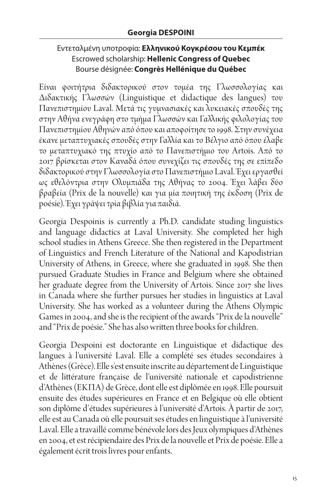## Εντεταλμένη υποτροφία: **Ελληνικού Κογκρέσου του Κεμπέκ** Escrowed scholarship: **Hellenic Congress of Quebec** Bourse désignée: **Congrès Hellénique du Québec**

Είναι φοιτήτρια διδακτορικού στον τομέα της Γλωσσολογίας και Διδακτικής Γλωσσών (Linguistique et didactique des langues) του Πανεπιστημίου Laval. Μετά τις γυμνασιακές και λυκειακές σπουδές της στην Αθήνα ενεγράφη στο τμήμα Γλωσσών και Γαλλικής φιλολογίας του Πανεπιστημίου Αθηνών από όπου και αποφοίτησε το 1998. Στην συνέχεια έκανε μεταπτυχιακές σπουδές στην Γαλλία και το Βέλγιο από όπου έλαβε το μεταπτυχιακό της πτυχίο από το Πανεπιστήμιο του Artois. Από το 2017 βρίσκεται στον Καναδά όπου συνεχίζει τις σπουδές της σε επίπεδο διδακτορικού στην Γλωσσολογία στο Πανεπιστήμιο Laval. Έχει εργασθεί ως εθελόντρια στην Ολυμπιάδα της Αθήνας το 2004. Έχει λάβει δύο βραβεία (Prix de la nouvelle) και για μία ποιητική της έκδοση (Prix de poésie). Έχει γράψει τρία βιβλία για παιδιά.

Georgia Despoinis is currently a Ph.D. candidate studing linguistics and language didactics at Laval University. She completed her high school studies in Athens Greece. She then registered in the Department of Linguistics and French Literature of the National and Kapodistrian University of Athens, in Greece, where she graduated in 1998. She then pursued Graduate Studies in France and Belgium where she obtained her graduate degree from the University of Artois. Since 2017 she lives in Canada where she further pursues her studies in linguistics at Laval University. She has worked as a volunteer during the Athens Olympic Games in 2004, and she is the recipient of the awards "Prix de la nouvelle" and "Prix de poésie." She has also written three books for children.

Georgia Despoini est doctorante en Linguistique et didactique des langues à l'université Laval. Elle a complété ses études secondaires à Athènes (Grèce). Elle s'est ensuite inscrite au département de Linguistique et de littérature française de l'université nationale et capodistrienne d'Athènes (EKΠΑ) de Grèce, dont elle est diplômée en 1998. Elle poursuit ensuite des études supérieures en France et en Belgique où elle obtient son diplôme d'études supérieures à l'université d'Artois. À partir de 2017, elle est au Canada où elle poursuit ses études en linguistique à l'université Laval. Elle a travaillé comme bénévole lors des Jeux olympiques d'Athènes en 2004, et est récipiendaire des Prix de la nouvelle et Prix de poésie. Elle a également écrit trois livres pour enfants.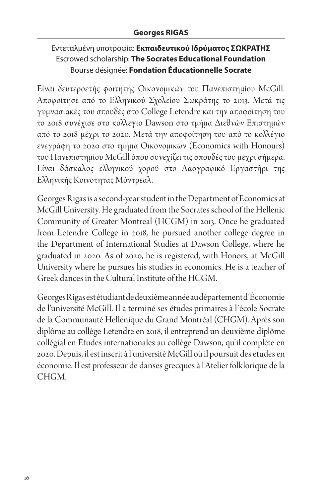## Εντεταλμένη υποτροφία: **Εκπαιδευτικού Ιδρύματος ΣΩΚΡΑΤΗΣ** Escrowed scholarship: **The Socrates Educational Foundation** Bourse désignée: **Fondation Éducationnelle Socrate**

Είναι δευτεροετής φοιτητής Οικονομικών του Πανεπιστημίου McGill. Αποφοίτησε από το Ελληνικού Σχολείου Σωκράτης το 2013. Μετά τις γυμνασιακές του σπουδές στο College Letendre και την αποφοίτηση του το 2018 συνέχισε στο κολλέγιο Dawson στο τμήμα Διεθνών Επιστημών από το 2018 μέχρι το 2020. Μετά την αποφοίτηση του από το κολλέγιο ενεγράφη το 2020 στο τμήμα Οικονομικών (Economics with Honours) του Πανεπιστημίου McGill όπου συνεχίζει τις σπουδές του μέχρι σήμερα. Είναι δάσκαλος ελληνικού χορού στο Λαογραφικό Εργαστήρι της Ελληνικής Κοινότητας Μόντρεαλ.

Georges Rigas is a second-year student in the Department of Economics at McGill University. He graduated from the Socrates school of the Hellenic Community of Greater Montreal (HCGM) in 2013. Once he graduated from Letendre College in 2018, he pursued another college degree in the Department of International Studies at Dawson College, where he graduated in 2020. As of 2020, he is registered, with Honors, at McGill University where he pursues his studies in economics. He is a teacher of Greek dances in the Cultural Institute of the HCGM.

Georges Rigas est étudiant de deuxième année au département d'Économie de l'université McGill. Il a terminé ses études primaires à l'école Socrate de la Communauté Hellénique du Grand Montréal (CHGM). Après son diplôme au collège Letendre en 2018, il entreprend un deuxième diplôme collégial en Études internationales au collège Dawson, qu'il complète en 2020. Depuis, il est inscrit à l'université McGill où il poursuit des études en économie. Il est professeur de danses grecques à l'Atelier folklorique de la CHGM.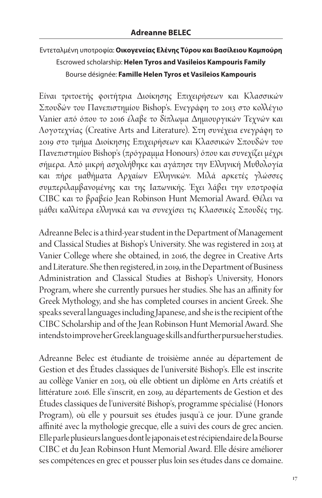## Εντεταλμένη υποτροφία: **Οικογενείας Ελένης Τύρου και Βασίλειου Καμπούρη** Escrowed scholarship: **Helen Tyros and Vasileios Kampouris Family** Bourse désignée: **Famille Helen Tyros et Vasileios Kampouris**

Είναι τριτοετής φοιτήτρια Διοίκησης Επιχειρήσεων και Κλασσικών Σπουδών του Πανεπιστημίου Bishop's. Ενεγράφη το 2013 στο κολλέγιο Vanier από όπου το 2016 έλαβε το δίπλωμα Δημιουργικών Τεχνών και Λογοτεχνίας (Creative Arts and Literature). Στη συνέχεια ενεγράφη το 2019 στο τμήμα Διοίκησης Επιχειρήσεων και Κλασσικών Σπουδών του Πανεπιστημίου Bishop's (πρόγραμμα Honours) όπου και συνεχίζει μέχρι σήμερα. Από μικρή ασχολήθηκε και αγάπησε την Eλληνική Μυθολογία και πήρε μαθήματα Αρχαίων Ελληνικών. Μιλά αρκετές γλώσσες συμπεριλαμβανομένης και της Ιαπωνικής. Έχει λάβει την υποτροφία CIBC και το βραβείο Jean Robinson Hunt Memorial Award. Θέλει να μάθει καλλίτερα ελληνικά και να συνεχίσει τις Κλασσικές Σπουδές της.

Adreanne Belec is a third-year student in the Department of Management and Classical Studies at Bishop's University. She was registered in 2013 at Vanier College where she obtained, in 2016, the degree in Creative Arts and Literature. She then registered, in 2019, in the Department of Business Administration and Classical Studies at Bishop's University, Honors Program, where she currently pursues her studies. She has an affinity for Greek Mythology, and she has completed courses in ancient Greek. She speaks several languages including Japanese, and she is the recipient of the CIBC Scholarship and of the Jean Robinson Hunt Memorial Award. She intends to improve her Greek language skills and further pursue her studies.

Adreanne Belec est étudiante de troisième année au département de Gestion et des Études classiques de l'université Bishop's. Elle est inscrite au collège Vanier en 2013, où elle obtient un diplôme en Arts créatifs et littérature 2016. Elle s'inscrit, en 2019, au départements de Gestion et des Études classiques de l'université Bishop's, programme spécialisé (Honors Program), où elle y poursuit ses études jusqu'à ce jour. D'une grande affinité avec la mythologie grecque, elle a suivi des cours de grec ancien. Elle parle plusieurs langues dont le japonais et est récipiendaire de la Bourse CIBC et du Jean Robinson Hunt Memorial Award. Elle désire améliorer ses compétences en grec et pousser plus loin ses études dans ce domaine.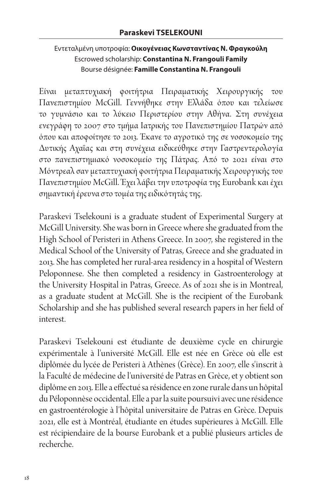### Εντεταλμένη υποτροφία: **Οικογένειας Κωνσταντίνας Ν. Φραγκούλη** Escrowed scholarship: **Constantina N. Frangouli Family** Bourse désignée: **Famille Constantina N. Frangouli**

Είναι μεταπτυχιακή φοιτήτρια Πειραματικής Χειρουργικής του Πανεπιστημίου McGill. Γεννήθηκε στην Ελλάδα όπου και τελείωσε το γυμνάσιο και το λύκειο Περιστερίου στην Αθήνα. Στη συνέχεια ενεγράφη το 2007 στο τμήμα Ιατρικής του Πανεπιστημίου Πατρών από όπου και αποφοίτησε το 2013. Έκανε το αγροτικό της σε νοσοκομείο της Δυτικής Αχαΐας και στη συνέχεια ειδικεύθηκε στην Γαστρεντερολογία στο πανεπιστημιακό νοσοκομείο της Πάτρας. Από το 2021 είναι στο Μόντρεαλ σαν μεταπτυχιακή φοιτήτρια Πειραματικής Χειρουργικής του Πανεπιστημίου McGill. Έχει λάβει την υποτροφία της Eurobank και έχει σημαντική έρευνα στο τομέα της ειδικότητάς της.

Paraskevi Tselekouni is a graduate student of Experimental Surgery at McGill University. She was born in Greece where she graduated from the High School of Peristeri in Athens Greece. In 2007, she registered in the Medical School of the University of Patras, Greece and she graduated in 2013. She has completed her rural-area residency in a hospital of Western Peloponnese. She then completed a residency in Gastroenterology at the University Hospital in Patras, Greece. As of 2021 she is in Montreal, as a graduate student at McGill. She is the recipient of the Eurobank Scholarship and she has published several research papers in her field of interest.

Paraskevi Tselekouni est étudiante de deuxième cycle en chirurgie expérimentale à l'université McGill. Elle est née en Grèce où elle est diplômée du lycée de Peristeri à Athènes (Grèce). En 2007, elle s'inscrit à la Faculté de médecine de l'université de Patras en Grèce, et y obtient son diplôme en 2013. Elle a effectué sa résidence en zone rurale dans un hôpital du Péloponnèse occidental. Elle a par la suite poursuivi avec une résidence en gastroentérologie à l'hôpital universitaire de Patras en Grèce. Depuis 2021, elle est à Montréal, étudiante en études supérieures à McGill. Elle est récipiendaire de la bourse Eurobank et a publié plusieurs articles de recherche.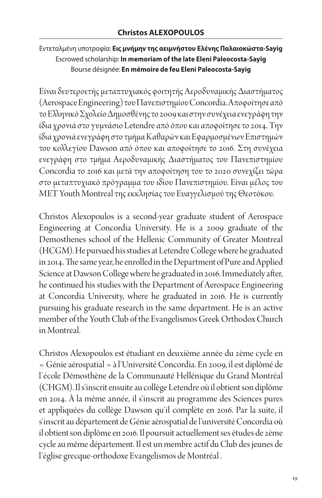## Εντεταλμένη υποτροφία: **Εις μνήμην της αειμνήστου Ελένης Παλαιοκώστα-Sayig** Escrowed scholarship: **In memoriam of the late Eleni Paleocosta-Sayig** Bourse désignée: **En mémoire de feu Eleni Paleocosta-Sayig**

Είναι δευτεροετής μεταπτυχιακός φοιτητής Αεροδυναμικής Διαστήματος (Aerospace Engineering) του Πανεπιστημίου Concordia. Αποφοίτησε από το Ελληνικό Σχολείο Δημοσθένης το 2009 και στην συνέχεια ενεγράφη την ίδια χρονιά στο γυμνάσιο Letendre από όπου και αποφοίτησε το 2014. Την ίδια χρονιά ενεγράφη στο τμήμα Καθαρών και Εφαρμοσμένων Επιστημών του κολλεγίου Dawson από όπου και αποφοίτησε το 2016. Στη συνέχεια ενεγράφη στο τμήμα Αεροδυναμικής Διαστήματος του Πανεπιστημίου Concordia το 2016 και μετά την αποφοίτηση του το 2020 συνεχίζει τώρα στο μεταπτυχιακό πρόγραμμα του ιδίου Πανεπιστημίου. Είναι μέλος του MET Youth Montreal της εκκλησίας του Ευαγγελισμού της Θεοτόκου.

Christos Alexopoulos is a second-year graduate student of Aerospace Engineering at Concordia University. He is a 2009 graduate of the Demosthenes school of the Hellenic Community of Greater Montreal (HCGM). He pursued his studies at Letendre College where he graduated in 2014. The same year, he enrolled in the Department of Pure and Applied Science at Dawson College where he graduated in 2016. Immediately after, he continued his studies with the Department of Aerospace Engineering at Concordia University, where he graduated in 2016. He is currently pursuing his graduate research in the same department. He is an active member of the Youth Club of the Evangelismos Greek Orthodox Church in Montreal.

Christos Alexopoulos est étudiant en deuxième année du 2ème cycle en « Génie aérospatial » à l'Université Concordia. En 2009, il est diplômé de l'école Démosthène de la Communauté Hellénique du Grand Montréal (CHGM). Il s'inscrit ensuite au collège Letendre où il obtient son diplôme en 2014. À la même année, il s'inscrit au programme des Sciences pures et appliquées du collège Dawson qu'il complète en 2016. Par la suite, il s'inscrit au département de Génie aérospatial de l'université Concordia où il obtient son diplôme en 2016. Il poursuit actuellement ses études de 2ème cycle au même département. Il est un membre actif du Club des jeunes de l'église grecque-orthodoxe Evangelismos de Montréal .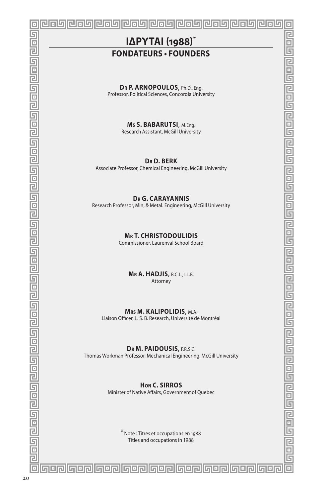## **IΔΡΥΤΑΙ (1988)**\* **FONDATEURS • FOUNDERS**

心同坏

 $\overline{\Xi}$ 

回 司

G

目回

同国 Ġ

目回

亘 ō 靣  $\overline{\mathbb{B}}$ 固

同回 匠 戸 靣

匠

回  $\overline{\Xi}$ 

G

已 ō

G 戸 ō 固

同回

同回回

百回 靣

 $\overline{E}$ ō

匠

已 司

匠

 $\Box$ 

#### **D<sup>r</sup> P. ARNOPOULOS**, Ph.D., Eng.

Professor, Political Sciences, Concordia University

**M<sup>s</sup> S. BABARUTSI**, M.Eng.

Research Assistant, McGill University

**D<sup>r</sup> D. BERK**

Associate Professor, Chemical Engineering, McGill University

#### **D<sup>r</sup> G. CARAYANNIS**

Research Professor, Min, & Metal. Engineering, McGill University

#### **M<sup>r</sup> T. CHRISTODOULIDIS**

Commissioner, Laurenval School Board

**M<sup>r</sup> A. HADJIS**, B.C.L., LL.B. Attorney

#### **Mrs M. KALIPOLIDIS**, M.A.

Liaison Officer, L. S. B. Research, Université de Montréal

#### **Dr M. PAIDOUSIS**, F.R.S.C.

Thomas Workman Professor, Mechanical Engineering, McGill University

**Hon C. SIRROS**

Minister of Native Affairs, Government of Quebec

\* Note : Titres et occupations en 1988 Titles and occupations in 1988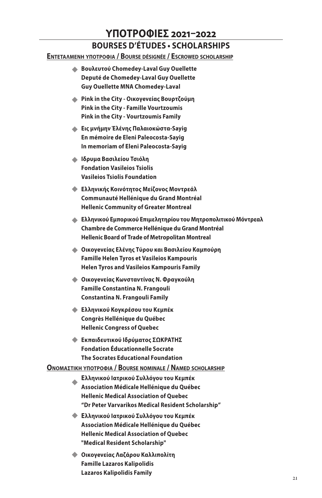# **ΥΠΟΤΡΟΦΙΕΣ 2021–2022**

## **BOURSES D'ÉTUDES • SCHOLARSHIPS**

#### **ΕντΕταλμΕνή υπΟτρΟφια / Bourse désignée / Escrowed scholarship**

- **Βουλευτού Chomedey-Laval Guy Ouellette** u **Deputé de Chomedey-Laval Guy Ouellette Guy Ouellette MNA Chomedey-Laval**
- **Pink in the City Οικογeνείας Βουρτζούμη** u **Pink in the City - Famille Vourtzoumis Pink in the City - Vourtzoumis Family**
- **Εις μνήμην Έλένης Παλαιoκώστα-Sayig** u **En mémoire de Eleni Paleocosta-Sayig In memoriam of Eleni Paleocosta-Sayig**
- **Ιδρυμα Βασιλείου Τσιόλη** u **Fondation Vasileios Tsiolis Vasileios Tsiolis Foundation**
- **Ελληνικής Κοινότητος Μείζονος Μοντρεάλ** u **Communauté Hellénique du Grand Montréal Hellenic Community of Greater Montreal**
- **Ελληνικού Εμπορικού Επιμελητηρίου του Μητροπολιτικού Μόντρεαλ** u **Chambre de Commerce Hellénique du Grand Montréal Hellenic Board of Trade of Metropolitan Montreal**
- **Οικογeνείας Ελένης Τύρου και Βασιλείου Καμπούρη** u **Famille Helen Tyros et Vasileios Kampouris Helen Tyros and Vasileios Kampouris Family**
- **Οικογeνείας Κωνσταντίνας Ν. Φραγκούλη** u **Famille Constantina N. Frangouli Constantina N. Frangouli Family**
- **Ελληνικού Κογκρέσου του Κεμπέκ** u **Congrès Hellénique du Québec Hellenic Congress of Quebec**
- **Εκπαιδευτικού Ιδρύματος ΣΩΚΡΑΤΗΣ** u **Fondation Éducationnelle Socrate The Socrates Educational Foundation**

#### **ΟνΟμαστική υπΟτρΟφια / Bourse nominale / Named scholarship**

- **Ελληνικού Ιατρικού Συλλόγου του Κεμπέκ Association Médicale Hellénique du Québec Hellenic Medical Association of Quebec "Dr Peter Varvarikos Medical Resident Scholarship"**  $\blacklozenge$
- **Ελληνικού Ιατρικού Συλλόγου του Κεμπέκ** u**Association Médicale Hellénique du Québec Hellenic Medical Association of Quebec "Medical Resident Scholarship"**
- **Οικογeνείας Λαζάρου Καλλιπολίτη** u **Famille Lazaros Kalipolidis Lazaros Kalipolidis Family**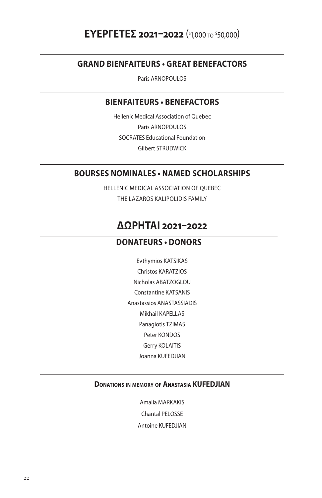#### **GRAND BIENFAITEURS • GREAT BENEFACTORS**

Paris ARNOPOULOS

#### **BIENFAITEURS • BENEFACTORS**

Hellenic Medical Association of Quebec Paris ARNOPOULOS SOCRATES Educational Foundation Gilbert STRUDWICK

#### **BOURSES NOMINALES • NAMED SCHOLARSHIPS**

HELLENIC MEDICAL ASSOCIATION OF QUEBEC THE LAZAROS KALIPOLIDIS FAMILY

## **ΔΩΡΗΤΑΙ 2021–2022**

#### **DONATEURS • DONORS**

Evthymios KATSIKAS Christos KARATZIOS Nicholas ABATZOGLOU Constantine KATSANIS Anastassios ANASTASSIADIS Mikhail KAPELLAS Panagiotis TZIMAS Peter KONDOS Gerry KOLAITIS Joanna KUFEDJIAN

#### **Donations in memory of Anastasia KUFEDJIAN**

Amalia MARKAKIS Chantal PELOSSE Antoine KUFEDJIAN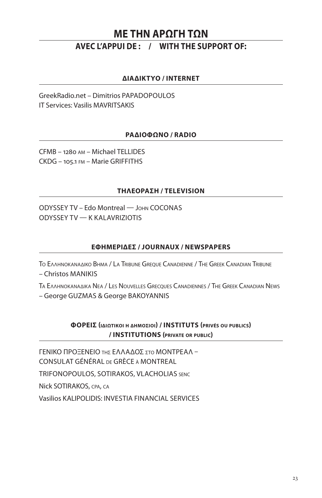## **ΜΕ ΤΗΝ ΑΡΩΓΗ ΤΩΝ**

### **AVEC L'APPUI DE : / WITH THE SUPPORT OF:**

#### **ΔΙΑΔΙΚΤΥΟ / INTERNET**

GreekRadio.net – Dimitrios PAPADOPOULOS IT Services: Vasilis MAVRITSAKIS

#### **ΡΑΔΙΟΦΩΝΟ / RADIO**

CFMB – 1280 am – Michael TELLIDES CKDG – 105.1 fm – Marie GRIFFITHS

#### **ΤΗΛΕΟΡΑΣΗ / TELEVISION**

ODYSSEY TV – Edo Montreal — John COCONAS ODYSSEY TV — K KALAVRIZIOTIS

#### **ΕΦΗΜΕΡΙΔΕΣ / JOURNAUX / NEWSPAPERS**

Το Ελληνοκαναδικο Βhma / La Tribune Greque Canadienne / The Greek Canadian Tribune – Christos MANIKIS

Τα Ελληνοκαναδικα ΝΕα / Les Nouvelles Grecques Canadiennes / The Greek Canadian News

– George GUZMAS & George BAKOYANNIS

#### **ΦΟΡΕΙΣ (iδιωτικΟι <sup>h</sup> δήμΟσιΟι) / INSTITUTS (privés ou publics) / INSTITUTIONS (private or public)**

ΓΕΝΙΚΟ ΠΡΟΞΕΝΕΙΟ Τησ ΕΛΛΑΔΟΣ σΤο ΜΟΝΤΡΕΑΛ – CONSULAT GÉNÉRAL de GRÈCE à MONTREAL

TRIFONOPOULOS, SOTIRAKOS, VLACHOLIAS senc

Nick SOTIRAKOS, cpa, ca

Vasilios KALIPOLIDIS: INVESTIA FINANCIAL SERVICES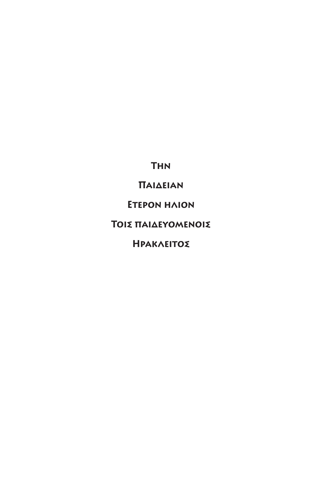**Την**

**Παιδειαν**

**Ετερον ηλιον**

**Τοις παιδευομενοις**

**Ηρακλειτος**